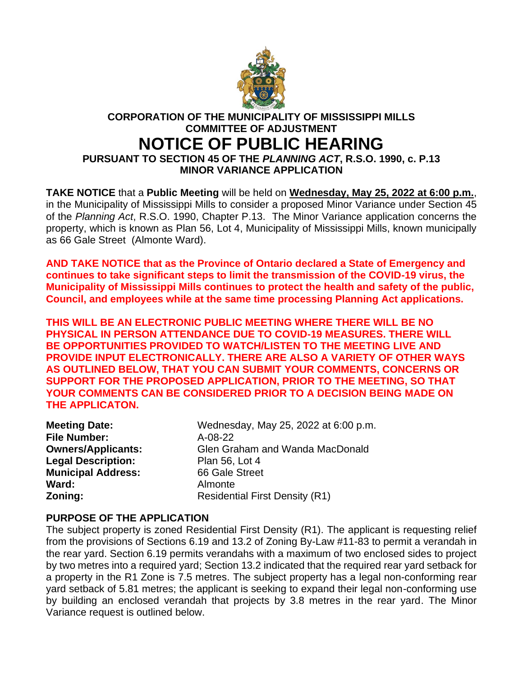

## **CORPORATION OF THE MUNICIPALITY OF MISSISSIPPI MILLS COMMITTEE OF ADJUSTMENT**

# **NOTICE OF PUBLIC HEARING**

**PURSUANT TO SECTION 45 OF THE** *PLANNING ACT***, R.S.O. 1990, c. P.13 MINOR VARIANCE APPLICATION**

**TAKE NOTICE** that a **Public Meeting** will be held on **Wednesday, May 25, 2022 at 6:00 p.m.**, in the Municipality of Mississippi Mills to consider a proposed Minor Variance under Section 45 of the *Planning Act*, R.S.O. 1990, Chapter P.13. The Minor Variance application concerns the property, which is known as Plan 56, Lot 4, Municipality of Mississippi Mills, known municipally as 66 Gale Street (Almonte Ward).

**AND TAKE NOTICE that as the Province of Ontario declared a State of Emergency and continues to take significant steps to limit the transmission of the COVID-19 virus, the Municipality of Mississippi Mills continues to protect the health and safety of the public, Council, and employees while at the same time processing Planning Act applications.**

**THIS WILL BE AN ELECTRONIC PUBLIC MEETING WHERE THERE WILL BE NO PHYSICAL IN PERSON ATTENDANCE DUE TO COVID-19 MEASURES. THERE WILL BE OPPORTUNITIES PROVIDED TO WATCH/LISTEN TO THE MEETING LIVE AND PROVIDE INPUT ELECTRONICALLY. THERE ARE ALSO A VARIETY OF OTHER WAYS AS OUTLINED BELOW, THAT YOU CAN SUBMIT YOUR COMMENTS, CONCERNS OR SUPPORT FOR THE PROPOSED APPLICATION, PRIOR TO THE MEETING, SO THAT YOUR COMMENTS CAN BE CONSIDERED PRIOR TO A DECISION BEING MADE ON THE APPLICATON.**

| <b>Meeting Date:</b>      | Wednesday, May 25, 2022 at 6:00 p.m.  |  |
|---------------------------|---------------------------------------|--|
| <b>File Number:</b>       | $A-08-22$                             |  |
| <b>Owners/Applicants:</b> | Glen Graham and Wanda MacDonald       |  |
| <b>Legal Description:</b> | Plan 56, Lot 4                        |  |
| <b>Municipal Address:</b> | 66 Gale Street                        |  |
| Ward:                     | Almonte                               |  |
| Zoning:                   | <b>Residential First Density (R1)</b> |  |
|                           |                                       |  |

#### **PURPOSE OF THE APPLICATION**

The subject property is zoned Residential First Density (R1). The applicant is requesting relief from the provisions of Sections 6.19 and 13.2 of Zoning By-Law #11-83 to permit a verandah in the rear yard. Section 6.19 permits verandahs with a maximum of two enclosed sides to project by two metres into a required yard; Section 13.2 indicated that the required rear yard setback for a property in the R1 Zone is 7.5 metres. The subject property has a legal non-conforming rear yard setback of 5.81 metres; the applicant is seeking to expand their legal non-conforming use by building an enclosed verandah that projects by 3.8 metres in the rear yard. The Minor Variance request is outlined below.